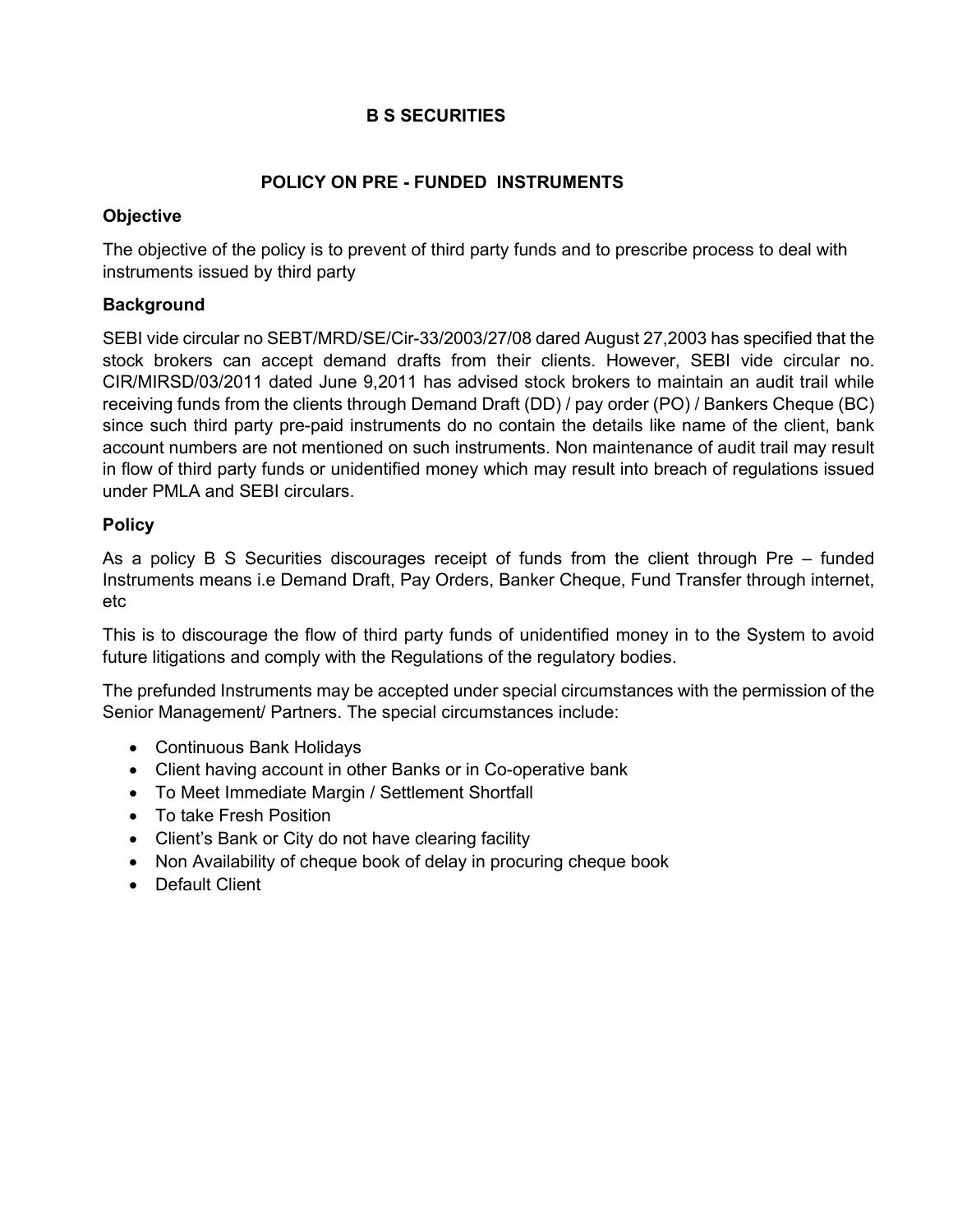# **B S SECURITIES**

## **POLICY ON PRE - FUNDED INSTRUMENTS**

#### **Objective**

The objective of the policy is to prevent of third party funds and to prescribe process to deal with instruments issued by third party

#### **Background**

SEBI vide circular no SEBT/MRD/SE/Cir-33/2003/27/08 dared August 27,2003 has specified that the stock brokers can accept demand drafts from their clients. However, SEBI vide circular no. CIR/MIRSD/03/2011 dated June 9,2011 has advised stock brokers to maintain an audit trail while receiving funds from the clients through Demand Draft (DD) / pay order (PO) / Bankers Cheque (BC) since such third party pre-paid instruments do no contain the details like name of the client, bank account numbers are not mentioned on such instruments. Non maintenance of audit trail may result in flow of third party funds or unidentified money which may result into breach of regulations issued under PMLA and SEBI circulars.

#### **Policy**

As a policy B S Securities discourages receipt of funds from the client through Pre – funded Instruments means i.e Demand Draft, Pay Orders, Banker Cheque, Fund Transfer through internet, etc

This is to discourage the flow of third party funds of unidentified money in to the System to avoid future litigations and comply with the Regulations of the regulatory bodies.

The prefunded Instruments may be accepted under special circumstances with the permission of the Senior Management/ Partners. The special circumstances include:

- Continuous Bank Holidays
- Client having account in other Banks or in Co-operative bank
- To Meet Immediate Margin / Settlement Shortfall
- To take Fresh Position
- Client's Bank or City do not have clearing facility
- Non Availability of cheque book of delay in procuring cheque book
- Default Client